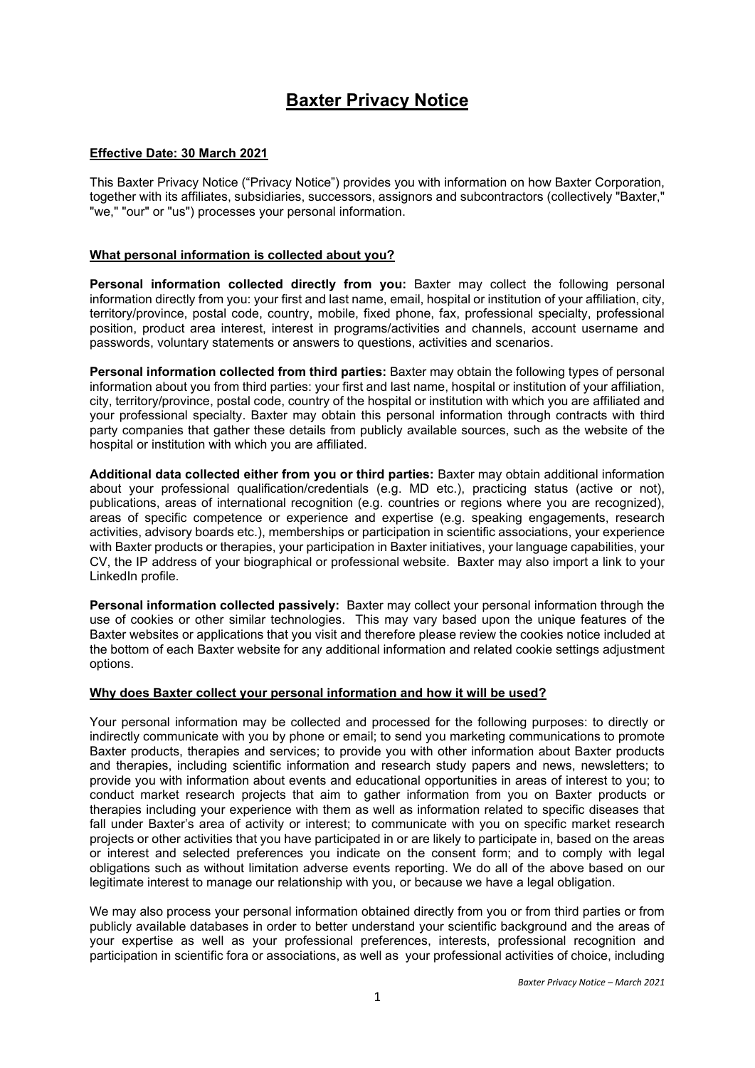# **Baxter Privacy Notice**

## **Effective Date: 30 March 2021**

This Baxter Privacy Notice ("Privacy Notice") provides you with information on how Baxter Corporation, together with its affiliates, subsidiaries, successors, assignors and subcontractors (collectively "Baxter," "we," "our" or "us") processes your personal information.

## **What personal information is collected about you?**

**Personal information collected directly from you:** Baxter may collect the following personal information directly from you: your first and last name, email, hospital or institution of your affiliation, city, territory/province, postal code, country, mobile, fixed phone, fax, professional specialty, professional position, product area interest, interest in programs/activities and channels, account username and passwords, voluntary statements or answers to questions, activities and scenarios.

**Personal information collected from third parties:** Baxter may obtain the following types of personal information about you from third parties: your first and last name, hospital or institution of your affiliation, city, territory/province, postal code, country of the hospital or institution with which you are affiliated and your professional specialty. Baxter may obtain this personal information through contracts with third party companies that gather these details from publicly available sources, such as the website of the hospital or institution with which you are affiliated.

**Additional data collected either from you or third parties:** Baxter may obtain additional information about your professional qualification/credentials (e.g. MD etc.), practicing status (active or not), publications, areas of international recognition (e.g. countries or regions where you are recognized), areas of specific competence or experience and expertise (e.g. speaking engagements, research activities, advisory boards etc.), memberships or participation in scientific associations, your experience with Baxter products or therapies, your participation in Baxter initiatives, your language capabilities, your CV, the IP address of your biographical or professional website. Baxter may also import a link to your LinkedIn profile.

**Personal information collected passively:** Baxter may collect your personal information through the use of cookies or other similar technologies. This may vary based upon the unique features of the Baxter websites or applications that you visit and therefore please review the cookies notice included at the bottom of each Baxter website for any additional information and related cookie settings adjustment options.

#### **Why does Baxter collect your personal information and how it will be used?**

Your personal information may be collected and processed for the following purposes: to directly or indirectly communicate with you by phone or email; to send you marketing communications to promote Baxter products, therapies and services; to provide you with other information about Baxter products and therapies, including scientific information and research study papers and news, newsletters; to provide you with information about events and educational opportunities in areas of interest to you; to conduct market research projects that aim to gather information from you on Baxter products or therapies including your experience with them as well as information related to specific diseases that fall under Baxter's area of activity or interest; to communicate with you on specific market research projects or other activities that you have participated in or are likely to participate in, based on the areas or interest and selected preferences you indicate on the consent form; and to comply with legal obligations such as without limitation adverse events reporting. We do all of the above based on our legitimate interest to manage our relationship with you, or because we have a legal obligation.

We may also process your personal information obtained directly from you or from third parties or from publicly available databases in order to better understand your scientific background and the areas of your expertise as well as your professional preferences, interests, professional recognition and participation in scientific fora or associations, as well as your professional activities of choice, including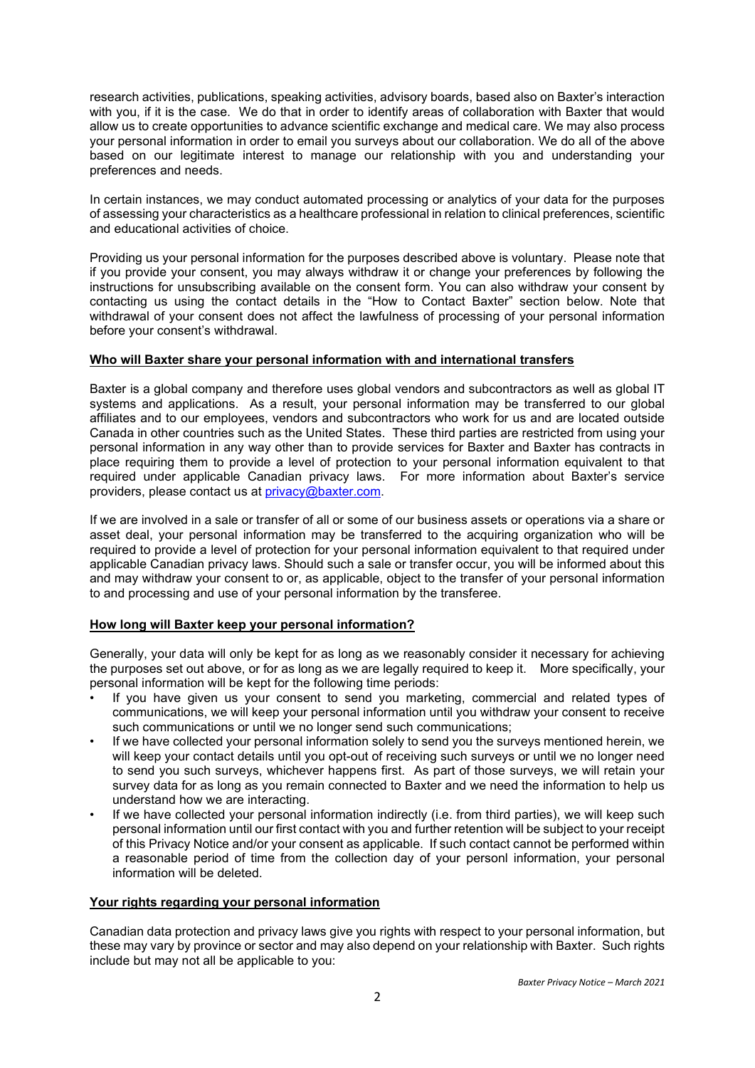research activities, publications, speaking activities, advisory boards, based also on Baxter's interaction with you, if it is the case. We do that in order to identify areas of collaboration with Baxter that would allow us to create opportunities to advance scientific exchange and medical care. We may also process your personal information in order to email you surveys about our collaboration. We do all of the above based on our legitimate interest to manage our relationship with you and understanding your preferences and needs.

In certain instances, we may conduct automated processing or analytics of your data for the purposes of assessing your characteristics as a healthcare professional in relation to clinical preferences, scientific and educational activities of choice.

Providing us your personal information for the purposes described above is voluntary. Please note that if you provide your consent, you may always withdraw it or change your preferences by following the instructions for unsubscribing available on the consent form. You can also withdraw your consent by contacting us using the contact details in the "How to Contact Baxter" section below. Note that withdrawal of your consent does not affect the lawfulness of processing of your personal information before your consent's withdrawal.

## **Who will Baxter share your personal information with and international transfers**

Baxter is a global company and therefore uses global vendors and subcontractors as well as global IT systems and applications. As a result, your personal information may be transferred to our global affiliates and to our employees, vendors and subcontractors who work for us and are located outside Canada in other countries such as the United States. These third parties are restricted from using your personal information in any way other than to provide services for Baxter and Baxter has contracts in place requiring them to provide a level of protection to your personal information equivalent to that required under applicable Canadian privacy laws. For more information about Baxter's service providers, please contact us at [privacy@baxter.com.](mailto:privacy@baxter.com)

If we are involved in a sale or transfer of all or some of our business assets or operations via a share or asset deal, your personal information may be transferred to the acquiring organization who will be required to provide a level of protection for your personal information equivalent to that required under applicable Canadian privacy laws. Should such a sale or transfer occur, you will be informed about this and may withdraw your consent to or, as applicable, object to the transfer of your personal information to and processing and use of your personal information by the transferee.

## **How long will Baxter keep your personal information?**

Generally, your data will only be kept for as long as we reasonably consider it necessary for achieving the purposes set out above, or for as long as we are legally required to keep it. More specifically, your personal information will be kept for the following time periods:

- If you have given us your consent to send you marketing, commercial and related types of communications, we will keep your personal information until you withdraw your consent to receive such communications or until we no longer send such communications;
- If we have collected your personal information solely to send you the surveys mentioned herein, we will keep your contact details until you opt-out of receiving such surveys or until we no longer need to send you such surveys, whichever happens first. As part of those surveys, we will retain your survey data for as long as you remain connected to Baxter and we need the information to help us understand how we are interacting.
- If we have collected your personal information indirectly (i.e. from third parties), we will keep such personal information until our first contact with you and further retention will be subject to your receipt of this Privacy Notice and/or your consent as applicable. If such contact cannot be performed within a reasonable period of time from the collection day of your personl information, your personal information will be deleted.

## **Your rights regarding your personal information**

Canadian data protection and privacy laws give you rights with respect to your personal information, but these may vary by province or sector and may also depend on your relationship with Baxter. Such rights include but may not all be applicable to you: